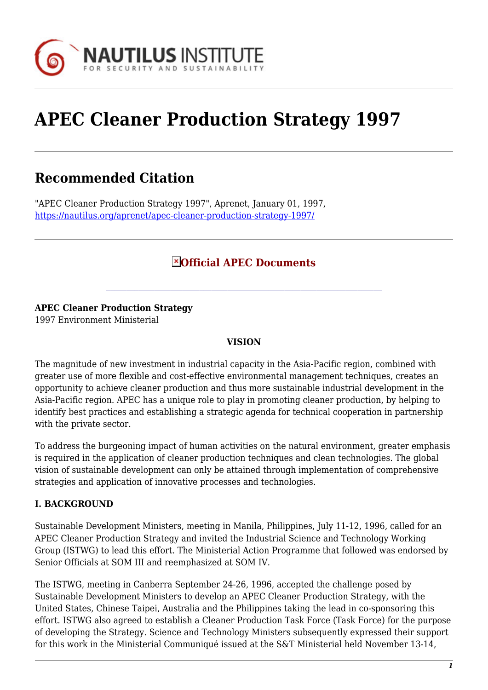

# **APEC Cleaner Production Strategy 1997**

# **Recommended Citation**

"APEC Cleaner Production Strategy 1997", Aprenet, January 01, 1997, <https://nautilus.org/aprenet/apec-cleaner-production-strategy-1997/>

### **Official APEC Documents**

#### **APEC Cleaner Production Strategy**

1997 Environment Ministerial

#### **VISION**

The magnitude of new investment in industrial capacity in the Asia-Pacific region, combined with greater use of more flexible and cost-effective environmental management techniques, creates an opportunity to achieve cleaner production and thus more sustainable industrial development in the Asia-Pacific region. APEC has a unique role to play in promoting cleaner production, by helping to identify best practices and establishing a strategic agenda for technical cooperation in partnership with the private sector.

To address the burgeoning impact of human activities on the natural environment, greater emphasis is required in the application of cleaner production techniques and clean technologies. The global vision of sustainable development can only be attained through implementation of comprehensive strategies and application of innovative processes and technologies.

#### **I. BACKGROUND**

Sustainable Development Ministers, meeting in Manila, Philippines, July 11-12, 1996, called for an APEC Cleaner Production Strategy and invited the Industrial Science and Technology Working Group (ISTWG) to lead this effort. The Ministerial Action Programme that followed was endorsed by Senior Officials at SOM III and reemphasized at SOM IV.

The ISTWG, meeting in Canberra September 24-26, 1996, accepted the challenge posed by Sustainable Development Ministers to develop an APEC Cleaner Production Strategy, with the United States, Chinese Taipei, Australia and the Philippines taking the lead in co-sponsoring this effort. ISTWG also agreed to establish a Cleaner Production Task Force (Task Force) for the purpose of developing the Strategy. Science and Technology Ministers subsequently expressed their support for this work in the Ministerial Communiqué issued at the S&T Ministerial held November 13-14,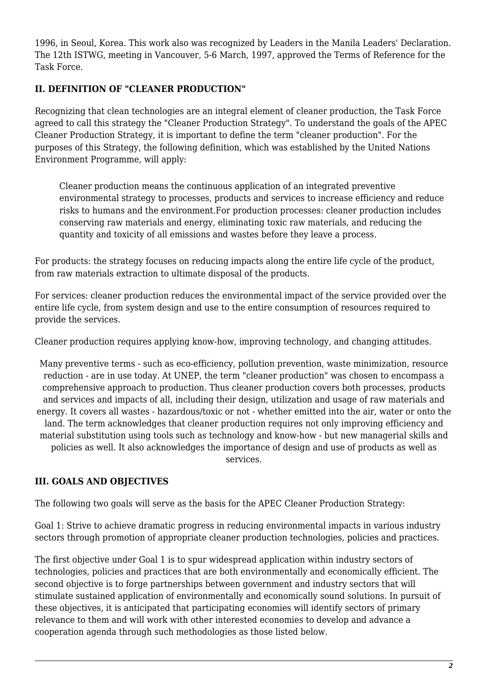1996, in Seoul, Korea. This work also was recognized by Leaders in the Manila Leaders' Declaration. The 12th ISTWG, meeting in Vancouver, 5-6 March, 1997, approved the Terms of Reference for the Task Force.

#### **II. DEFINITION OF "CLEANER PRODUCTION"**

Recognizing that clean technologies are an integral element of cleaner production, the Task Force agreed to call this strategy the "Cleaner Production Strategy". To understand the goals of the APEC Cleaner Production Strategy, it is important to define the term "cleaner production". For the purposes of this Strategy, the following definition, which was established by the United Nations Environment Programme, will apply:

Cleaner production means the continuous application of an integrated preventive environmental strategy to processes, products and services to increase efficiency and reduce risks to humans and the environment.For production processes: cleaner production includes conserving raw materials and energy, eliminating toxic raw materials, and reducing the quantity and toxicity of all emissions and wastes before they leave a process.

For products: the strategy focuses on reducing impacts along the entire life cycle of the product, from raw materials extraction to ultimate disposal of the products.

For services: cleaner production reduces the environmental impact of the service provided over the entire life cycle, from system design and use to the entire consumption of resources required to provide the services.

Cleaner production requires applying know-how, improving technology, and changing attitudes.

Many preventive terms - such as eco-efficiency, pollution prevention, waste minimization, resource reduction - are in use today. At UNEP, the term "cleaner production" was chosen to encompass a comprehensive approach to production. Thus cleaner production covers both processes, products and services and impacts of all, including their design, utilization and usage of raw materials and energy. It covers all wastes - hazardous/toxic or not - whether emitted into the air, water or onto the land. The term acknowledges that cleaner production requires not only improving efficiency and material substitution using tools such as technology and know-how - but new managerial skills and policies as well. It also acknowledges the importance of design and use of products as well as services.

#### **III. GOALS AND OBJECTIVES**

The following two goals will serve as the basis for the APEC Cleaner Production Strategy:

Goal 1: Strive to achieve dramatic progress in reducing environmental impacts in various industry sectors through promotion of appropriate cleaner production technologies, policies and practices.

The first objective under Goal 1 is to spur widespread application within industry sectors of technologies, policies and practices that are both environmentally and economically efficient. The second objective is to forge partnerships between government and industry sectors that will stimulate sustained application of environmentally and economically sound solutions. In pursuit of these objectives, it is anticipated that participating economies will identify sectors of primary relevance to them and will work with other interested economies to develop and advance a cooperation agenda through such methodologies as those listed below.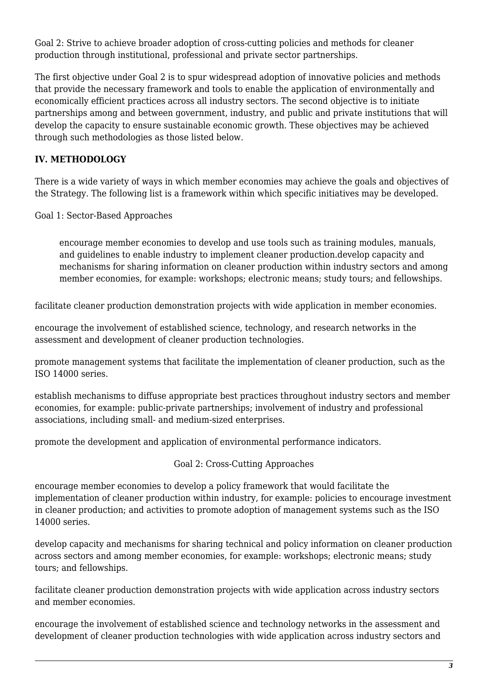Goal 2: Strive to achieve broader adoption of cross-cutting policies and methods for cleaner production through institutional, professional and private sector partnerships.

The first objective under Goal 2 is to spur widespread adoption of innovative policies and methods that provide the necessary framework and tools to enable the application of environmentally and economically efficient practices across all industry sectors. The second objective is to initiate partnerships among and between government, industry, and public and private institutions that will develop the capacity to ensure sustainable economic growth. These objectives may be achieved through such methodologies as those listed below.

#### **IV. METHODOLOGY**

There is a wide variety of ways in which member economies may achieve the goals and objectives of the Strategy. The following list is a framework within which specific initiatives may be developed.

Goal 1: Sector-Based Approaches

encourage member economies to develop and use tools such as training modules, manuals, and guidelines to enable industry to implement cleaner production.develop capacity and mechanisms for sharing information on cleaner production within industry sectors and among member economies, for example: workshops; electronic means; study tours; and fellowships.

facilitate cleaner production demonstration projects with wide application in member economies.

encourage the involvement of established science, technology, and research networks in the assessment and development of cleaner production technologies.

promote management systems that facilitate the implementation of cleaner production, such as the ISO 14000 series.

establish mechanisms to diffuse appropriate best practices throughout industry sectors and member economies, for example: public-private partnerships; involvement of industry and professional associations, including small- and medium-sized enterprises.

promote the development and application of environmental performance indicators.

Goal 2: Cross-Cutting Approaches

encourage member economies to develop a policy framework that would facilitate the implementation of cleaner production within industry, for example: policies to encourage investment in cleaner production; and activities to promote adoption of management systems such as the ISO 14000 series.

develop capacity and mechanisms for sharing technical and policy information on cleaner production across sectors and among member economies, for example: workshops; electronic means; study tours; and fellowships.

facilitate cleaner production demonstration projects with wide application across industry sectors and member economies.

encourage the involvement of established science and technology networks in the assessment and development of cleaner production technologies with wide application across industry sectors and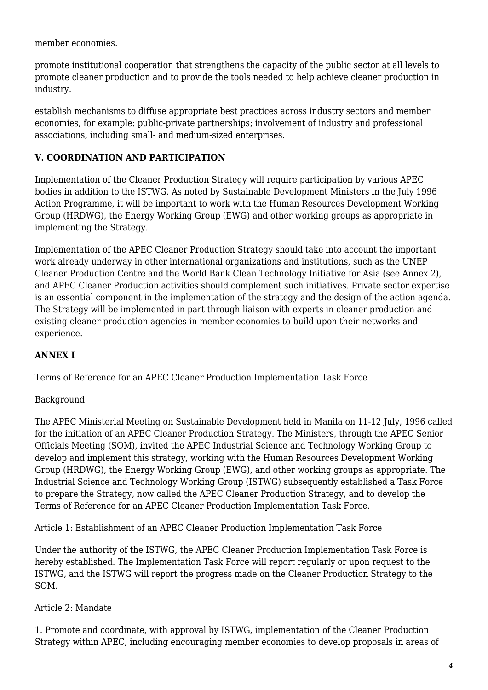member economies.

promote institutional cooperation that strengthens the capacity of the public sector at all levels to promote cleaner production and to provide the tools needed to help achieve cleaner production in industry.

establish mechanisms to diffuse appropriate best practices across industry sectors and member economies, for example: public-private partnerships; involvement of industry and professional associations, including small- and medium-sized enterprises.

#### **V. COORDINATION AND PARTICIPATION**

Implementation of the Cleaner Production Strategy will require participation by various APEC bodies in addition to the ISTWG. As noted by Sustainable Development Ministers in the July 1996 Action Programme, it will be important to work with the Human Resources Development Working Group (HRDWG), the Energy Working Group (EWG) and other working groups as appropriate in implementing the Strategy.

Implementation of the APEC Cleaner Production Strategy should take into account the important work already underway in other international organizations and institutions, such as the UNEP Cleaner Production Centre and the World Bank Clean Technology Initiative for Asia (see Annex 2), and APEC Cleaner Production activities should complement such initiatives. Private sector expertise is an essential component in the implementation of the strategy and the design of the action agenda. The Strategy will be implemented in part through liaison with experts in cleaner production and existing cleaner production agencies in member economies to build upon their networks and experience.

#### **ANNEX I**

Terms of Reference for an APEC Cleaner Production Implementation Task Force

#### Background

The APEC Ministerial Meeting on Sustainable Development held in Manila on 11-12 July, 1996 called for the initiation of an APEC Cleaner Production Strategy. The Ministers, through the APEC Senior Officials Meeting (SOM), invited the APEC Industrial Science and Technology Working Group to develop and implement this strategy, working with the Human Resources Development Working Group (HRDWG), the Energy Working Group (EWG), and other working groups as appropriate. The Industrial Science and Technology Working Group (ISTWG) subsequently established a Task Force to prepare the Strategy, now called the APEC Cleaner Production Strategy, and to develop the Terms of Reference for an APEC Cleaner Production Implementation Task Force.

Article 1: Establishment of an APEC Cleaner Production Implementation Task Force

Under the authority of the ISTWG, the APEC Cleaner Production Implementation Task Force is hereby established. The Implementation Task Force will report regularly or upon request to the ISTWG, and the ISTWG will report the progress made on the Cleaner Production Strategy to the SOM.

#### Article 2: Mandate

1. Promote and coordinate, with approval by ISTWG, implementation of the Cleaner Production Strategy within APEC, including encouraging member economies to develop proposals in areas of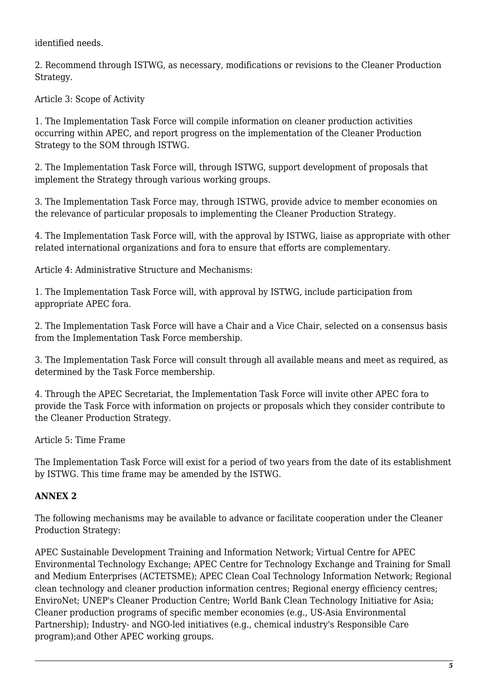identified needs.

2. Recommend through ISTWG, as necessary, modifications or revisions to the Cleaner Production Strategy.

Article 3: Scope of Activity

1. The Implementation Task Force will compile information on cleaner production activities occurring within APEC, and report progress on the implementation of the Cleaner Production Strategy to the SOM through ISTWG.

2. The Implementation Task Force will, through ISTWG, support development of proposals that implement the Strategy through various working groups.

3. The Implementation Task Force may, through ISTWG, provide advice to member economies on the relevance of particular proposals to implementing the Cleaner Production Strategy.

4. The Implementation Task Force will, with the approval by ISTWG, liaise as appropriate with other related international organizations and fora to ensure that efforts are complementary.

Article 4: Administrative Structure and Mechanisms:

1. The Implementation Task Force will, with approval by ISTWG, include participation from appropriate APEC fora.

2. The Implementation Task Force will have a Chair and a Vice Chair, selected on a consensus basis from the Implementation Task Force membership.

3. The Implementation Task Force will consult through all available means and meet as required, as determined by the Task Force membership.

4. Through the APEC Secretariat, the Implementation Task Force will invite other APEC fora to provide the Task Force with information on projects or proposals which they consider contribute to the Cleaner Production Strategy.

Article 5: Time Frame

The Implementation Task Force will exist for a period of two years from the date of its establishment by ISTWG. This time frame may be amended by the ISTWG.

## **ANNEX 2**

The following mechanisms may be available to advance or facilitate cooperation under the Cleaner Production Strategy:

APEC Sustainable Development Training and Information Network; Virtual Centre for APEC Environmental Technology Exchange; APEC Centre for Technology Exchange and Training for Small and Medium Enterprises (ACTETSME); APEC Clean Coal Technology Information Network; Regional clean technology and cleaner production information centres; Regional energy efficiency centres; EnviroNet; UNEP's Cleaner Production Centre; World Bank Clean Technology Initiative for Asia; Cleaner production programs of specific member economies (e.g., US-Asia Environmental Partnership); Industry- and NGO-led initiatives (e.g., chemical industry's Responsible Care program);and Other APEC working groups.